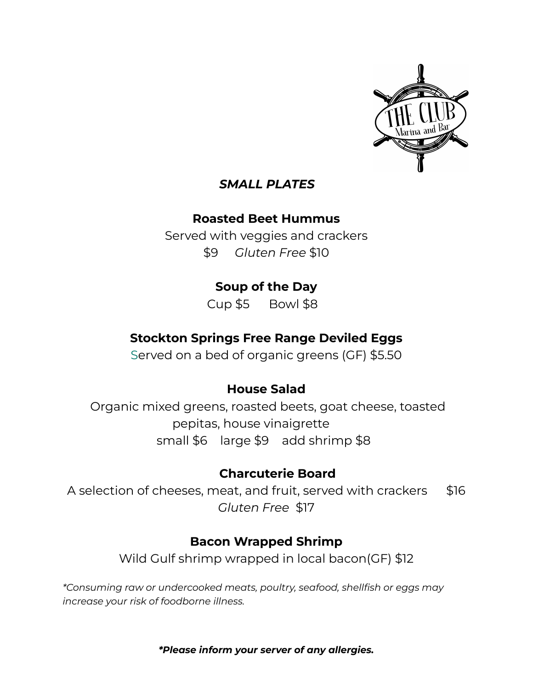

#### *SMALL PLATES*

### **Roasted Beet Hummus**

Served with veggies and crackers \$9 *Gluten Free* \$10

## **Soup of the Day**

Cup \$5 Bowl \$8

## **Stockton Springs Free Range Deviled Eggs**

Served on a bed of organic greens (GF) \$5.50

### **House Salad**

Organic mixed greens, roasted beets, goat cheese, toasted pepitas, house vinaigrette small \$6 large \$9 add shrimp \$8

### **Charcuterie Board**

A selection of cheeses, meat, and fruit, served with crackers \$16 *Gluten Free* \$17

## **Bacon Wrapped Shrimp**

Wild Gulf shrimp wrapped in local bacon(GF) \$12

*\*Consuming raw or undercooked meats, poultry, seafood, shellfish or eggs may increase your risk of foodborne illness.*

*\*Please inform your server of any allergies.*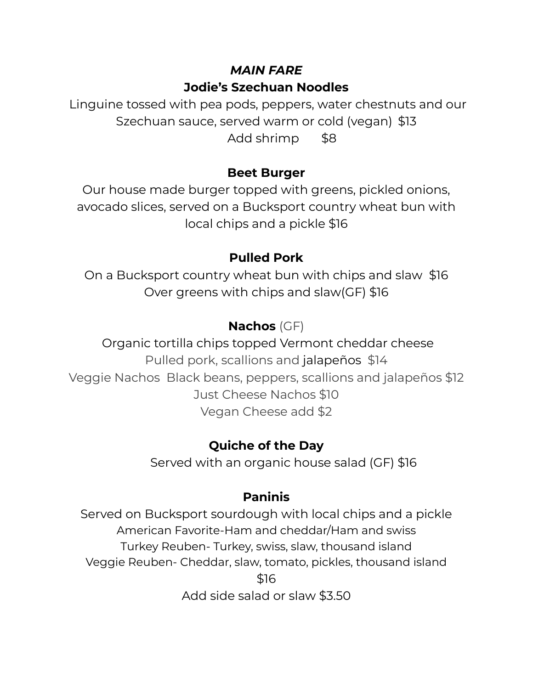# *MAIN FARE* **Jodie's Szechuan Noodles**

Linguine tossed with pea pods, peppers, water chestnuts and our Szechuan sauce, served warm or cold (vegan) \$13 Add shrimp \$8

## **Beet Burger**

Our house made burger topped with greens, pickled onions, avocado slices, served on a Bucksport country wheat bun with local chips and a pickle \$16

## **Pulled Pork**

On a Bucksport country wheat bun with chips and slaw \$16 Over greens with chips and slaw(GF) \$16

# **Nachos** (GF)

Organic tortilla chips topped Vermont cheddar cheese Pulled pork, scallions and jalapeños \$14 Veggie Nachos Black beans, peppers, scallions and jalapeños \$12 Just Cheese Nachos \$10 Vegan Cheese add \$2

# **Quiche of the Day**

Served with an organic house salad (GF) \$16

# **Paninis**

Served on Bucksport sourdough with local chips and a pickle American Favorite-Ham and cheddar/Ham and swiss Turkey Reuben- Turkey, swiss, slaw, thousand island Veggie Reuben- Cheddar, slaw, tomato, pickles, thousand island \$16

Add side salad or slaw \$3.50